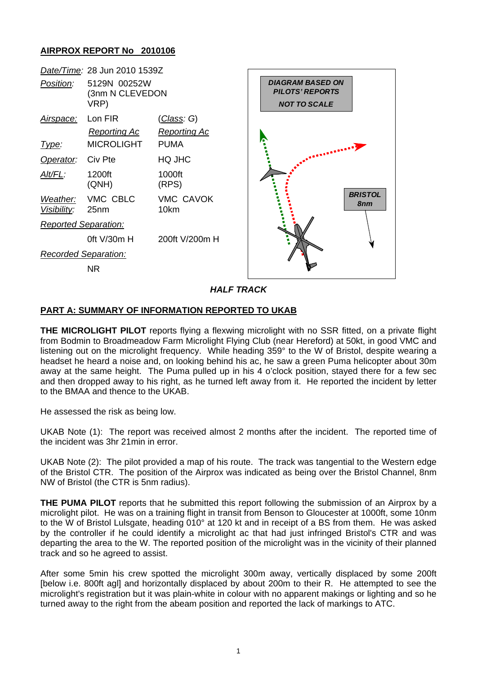# **AIRPROX REPORT No 2010106**



*HALF TRACK* 

# **PART A: SUMMARY OF INFORMATION REPORTED TO UKAB**

**THE MICROLIGHT PILOT** reports flying a flexwing microlight with no SSR fitted, on a private flight from Bodmin to Broadmeadow Farm Microlight Flying Club (near Hereford) at 50kt, in good VMC and listening out on the microlight frequency. While heading 359° to the W of Bristol, despite wearing a headset he heard a noise and, on looking behind his ac, he saw a green Puma helicopter about 30m away at the same height. The Puma pulled up in his 4 o'clock position, stayed there for a few sec and then dropped away to his right, as he turned left away from it. He reported the incident by letter to the BMAA and thence to the UKAB.

He assessed the risk as being low.

UKAB Note (1): The report was received almost 2 months after the incident. The reported time of the incident was 3hr 21min in error.

UKAB Note (2): The pilot provided a map of his route. The track was tangential to the Western edge of the Bristol CTR. The position of the Airprox was indicated as being over the Bristol Channel, 8nm NW of Bristol (the CTR is 5nm radius).

**THE PUMA PILOT** reports that he submitted this report following the submission of an Airprox by a microlight pilot. He was on a training flight in transit from Benson to Gloucester at 1000ft, some 10nm to the W of Bristol Lulsgate, heading 010° at 120 kt and in receipt of a BS from them. He was asked by the controller if he could identify a microlight ac that had just infringed Bristol's CTR and was departing the area to the W. The reported position of the microlight was in the vicinity of their planned track and so he agreed to assist.

After some 5min his crew spotted the microlight 300m away, vertically displaced by some 200ft [below i.e. 800ft agl] and horizontally displaced by about 200m to their R. He attempted to see the microlight's registration but it was plain-white in colour with no apparent makings or lighting and so he turned away to the right from the abeam position and reported the lack of markings to ATC.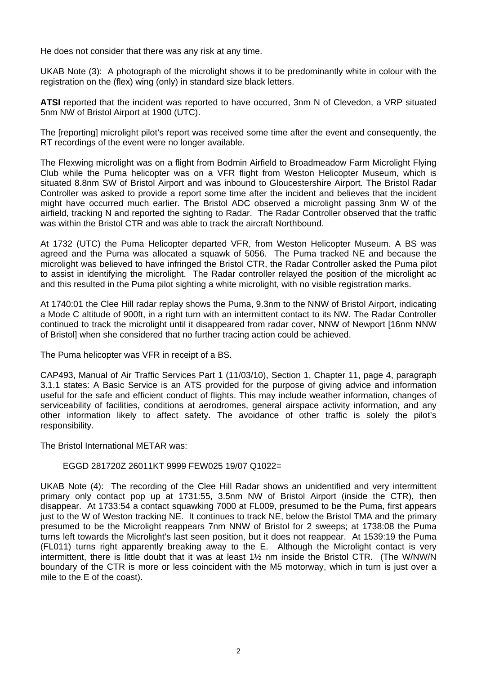He does not consider that there was any risk at any time.

UKAB Note (3): A photograph of the microlight shows it to be predominantly white in colour with the registration on the (flex) wing (only) in standard size black letters.

**ATSI** reported that the incident was reported to have occurred, 3nm N of Clevedon, a VRP situated 5nm NW of Bristol Airport at 1900 (UTC).

The [reporting] microlight pilot's report was received some time after the event and consequently, the RT recordings of the event were no longer available.

The Flexwing microlight was on a flight from Bodmin Airfield to Broadmeadow Farm Microlight Flying Club while the Puma helicopter was on a VFR flight from Weston Helicopter Museum, which is situated 8.8nm SW of Bristol Airport and was inbound to Gloucestershire Airport. The Bristol Radar Controller was asked to provide a report some time after the incident and believes that the incident might have occurred much earlier. The Bristol ADC observed a microlight passing 3nm W of the airfield, tracking N and reported the sighting to Radar. The Radar Controller observed that the traffic was within the Bristol CTR and was able to track the aircraft Northbound.

At 1732 (UTC) the Puma Helicopter departed VFR, from Weston Helicopter Museum. A BS was agreed and the Puma was allocated a squawk of 5056. The Puma tracked NE and because the microlight was believed to have infringed the Bristol CTR, the Radar Controller asked the Puma pilot to assist in identifying the microlight. The Radar controller relayed the position of the microlight ac and this resulted in the Puma pilot sighting a white microlight, with no visible registration marks.

At 1740:01 the Clee Hill radar replay shows the Puma, 9.3nm to the NNW of Bristol Airport, indicating a Mode C altitude of 900ft, in a right turn with an intermittent contact to its NW. The Radar Controller continued to track the microlight until it disappeared from radar cover, NNW of Newport [16nm NNW of Bristol] when she considered that no further tracing action could be achieved.

The Puma helicopter was VFR in receipt of a BS.

CAP493, Manual of Air Traffic Services Part 1 (11/03/10), Section 1, Chapter 11, page 4, paragraph 3.1.1 states: A Basic Service is an ATS provided for the purpose of giving advice and information useful for the safe and efficient conduct of flights. This may include weather information, changes of serviceability of facilities, conditions at aerodromes, general airspace activity information, and any other information likely to affect safety. The avoidance of other traffic is solely the pilot's responsibility.

The Bristol International METAR was:

# EGGD 281720Z 26011KT 9999 FEW025 19/07 Q1022=

UKAB Note (4): The recording of the Clee Hill Radar shows an unidentified and very intermittent primary only contact pop up at 1731:55, 3.5nm NW of Bristol Airport (inside the CTR), then disappear. At 1733:54 a contact squawking 7000 at FL009, presumed to be the Puma, first appears just to the W of Weston tracking NE. It continues to track NE, below the Bristol TMA and the primary presumed to be the Microlight reappears 7nm NNW of Bristol for 2 sweeps; at 1738:08 the Puma turns left towards the Microlight's last seen position, but it does not reappear. At 1539:19 the Puma (FL011) turns right apparently breaking away to the E. Although the Microlight contact is very intermittent, there is little doubt that it was at least 1½ nm inside the Bristol CTR. (The W/NW/N boundary of the CTR is more or less coincident with the M5 motorway, which in turn is just over a mile to the E of the coast).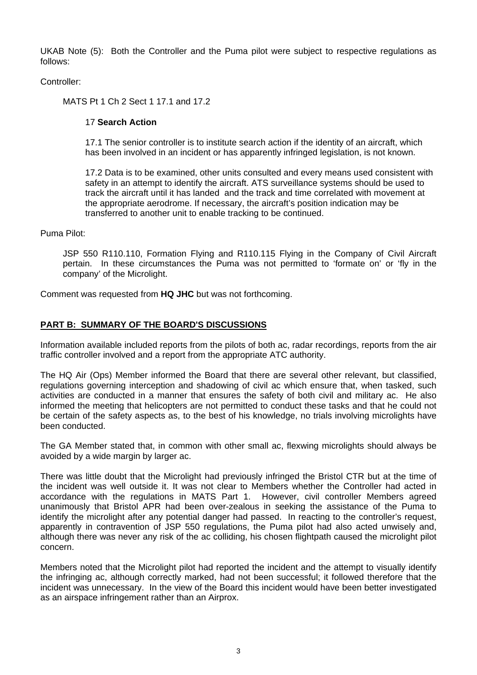UKAB Note (5): Both the Controller and the Puma pilot were subject to respective regulations as follows:

Controller:

MATS Pt 1 Ch 2 Sect 1 17.1 and 17.2

#### 17 **Search Action**

17.1 The senior controller is to institute search action if the identity of an aircraft, which has been involved in an incident or has apparently infringed legislation, is not known.

17.2 Data is to be examined, other units consulted and every means used consistent with safety in an attempt to identify the aircraft. ATS surveillance systems should be used to track the aircraft until it has landed and the track and time correlated with movement at the appropriate aerodrome. If necessary, the aircraft's position indication may be transferred to another unit to enable tracking to be continued.

Puma Pilot:

JSP 550 R110.110, Formation Flying and R110.115 Flying in the Company of Civil Aircraft pertain. In these circumstances the Puma was not permitted to 'formate on' or 'fly in the company' of the Microlight.

Comment was requested from **HQ JHC** but was not forthcoming.

# **PART B: SUMMARY OF THE BOARD'S DISCUSSIONS**

Information available included reports from the pilots of both ac, radar recordings, reports from the air traffic controller involved and a report from the appropriate ATC authority.

The HQ Air (Ops) Member informed the Board that there are several other relevant, but classified, regulations governing interception and shadowing of civil ac which ensure that, when tasked, such activities are conducted in a manner that ensures the safety of both civil and military ac. He also informed the meeting that helicopters are not permitted to conduct these tasks and that he could not be certain of the safety aspects as, to the best of his knowledge, no trials involving microlights have been conducted.

The GA Member stated that, in common with other small ac, flexwing microlights should always be avoided by a wide margin by larger ac.

There was little doubt that the Microlight had previously infringed the Bristol CTR but at the time of the incident was well outside it. It was not clear to Members whether the Controller had acted in accordance with the regulations in MATS Part 1. However, civil controller Members agreed unanimously that Bristol APR had been over-zealous in seeking the assistance of the Puma to identify the microlight after any potential danger had passed. In reacting to the controller's request, apparently in contravention of JSP 550 regulations, the Puma pilot had also acted unwisely and, although there was never any risk of the ac colliding, his chosen flightpath caused the microlight pilot concern.

Members noted that the Microlight pilot had reported the incident and the attempt to visually identify the infringing ac, although correctly marked, had not been successful; it followed therefore that the incident was unnecessary. In the view of the Board this incident would have been better investigated as an airspace infringement rather than an Airprox.